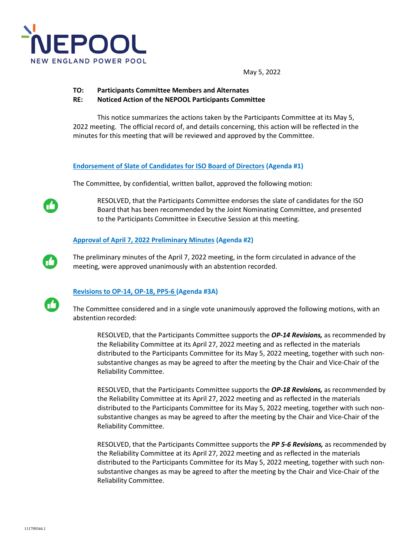

May 5, 2022

- **TO: Participants Committee Members and Alternates**
- **RE: Noticed Action of the NEPOOL Participants Committee**

This notice summarizes the actions taken by the Participants Committee at its May 5, 2022 meeting. The official record of, and details concerning, this action will be reflected in the minutes for this meeting that will be reviewed and approved by the Committee.

**Endorsement of Slate of Candidates for ISO Board of Directors (Agenda #1)** 

The Committee, by confidential, written ballot, approved the following motion:

RESOLVED, that the Participants Committee endorses the slate of candidates for the ISO Board that has been recommended by the Joint Nominating Committee, and presented to the Participants Committee in Executive Session at this meeting.

## **Approval of April 7, 2022 Preliminary Minutes (Agenda #2)**

The preliminary minutes of the April 7, 2022 meeting, in the form circulated in advance of the meeting, were approved unanimously with an abstention recorded.



74

## **Revisions to OP-14, OP-18, PP5-6 (Agenda #3A)**

The Committee considered and in a single vote unanimously approved the following motions, with an abstention recorded:

RESOLVED, that the Participants Committee supports the *OP-14 Revisions,* as recommended by the Reliability Committee at its April 27, 2022 meeting and as reflected in the materials distributed to the Participants Committee for its May 5, 2022 meeting, together with such nonsubstantive changes as may be agreed to after the meeting by the Chair and Vice-Chair of the Reliability Committee.

RESOLVED, that the Participants Committee supports the *OP-18 Revisions,* as recommended by the Reliability Committee at its April 27, 2022 meeting and as reflected in the materials distributed to the Participants Committee for its May 5, 2022 meeting, together with such nonsubstantive changes as may be agreed to after the meeting by the Chair and Vice-Chair of the Reliability Committee.

RESOLVED, that the Participants Committee supports the *PP 5-6 Revisions,* as recommended by the Reliability Committee at its April 27, 2022 meeting and as reflected in the materials distributed to the Participants Committee for its May 5, 2022 meeting, together with such nonsubstantive changes as may be agreed to after the meeting by the Chair and Vice-Chair of the Reliability Committee.